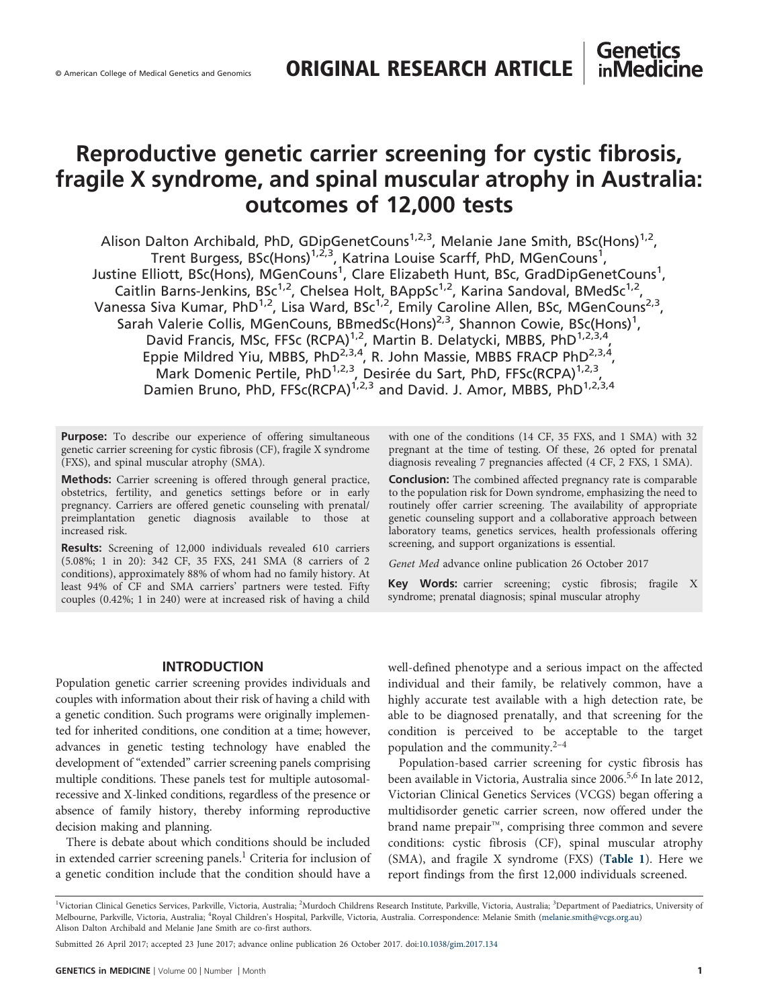### **Genetics** inMedicine

# Reproductive genetic carrier screening for cystic fibrosis, fragile X syndrome, and spinal muscular atrophy in Australia: outcomes of 12,000 tests

Alison Dalton Archibald, PhD, GDipGenetCouns<sup>1,2,3</sup>, Melanie Jane Smith, BSc(Hons)<sup>1,2</sup>, Trent Burgess, BSc(Hons)<sup>1,2,3</sup>, Katrina Louise Scarff, PhD, MGenCouns<sup>1</sup>, Justine Elliott, BSc(Hons), MGenCouns<sup>1</sup>, Clare Elizabeth Hunt, BSc, GradDipGenetCouns<sup>1</sup>, Caitlin Barns-Jenkins, BSc<sup>1,2</sup>, Chelsea Holt, BAppSc<sup>1,2</sup>, Karina Sandoval, BMedSc<sup>1,2</sup>, Vanessa Siva Kumar, PhD<sup>1,2</sup>, Lisa Ward, BSc<sup>1,2</sup>, Emily Caroline Allen, BSc, MGenCouns<sup>2,3</sup>, Sarah Valerie Collis, MGenCouns, BBmedSc(Hons)<sup>2,3</sup>, Shannon Cowie, BSc(Hons)<sup>1</sup>, David Francis, MSc, FFSc (RCPA)<sup>1,2</sup>, Martin B. Delatycki, MBBS, PhD<sup>1,2,3,4</sup> Eppie Mildred Yiu, MBBS, PhD<sup>2,3,4</sup>, R. John Massie, MBBS FRACP PhD<sup>2,3,4</sup>, Mark Domenic Pertile, PhD<sup>1,2,3</sup>, Desirée du Sart, PhD, FFSc(RCPA)<sup>1,2,3</sup>, Damien Bruno, PhD, FFSc(RCPA)<sup>1,2,3</sup> and David. J. Amor, MBBS, PhD<sup>1,2,3,4</sup>

Purpose: To describe our experience of offering simultaneous genetic carrier screening for cystic fibrosis (CF), fragile X syndrome (FXS), and spinal muscular atrophy (SMA).

Methods: Carrier screening is offered through general practice, obstetrics, fertility, and genetics settings before or in early pregnancy. Carriers are offered genetic counseling with prenatal/ preimplantation genetic diagnosis available to those at increased risk.

Results: Screening of 12,000 individuals revealed 610 carriers (5.08%; 1 in 20): 342 CF, 35 FXS, 241 SMA (8 carriers of 2 conditions), approximately 88% of whom had no family history. At least 94% of CF and SMA carriers' partners were tested. Fifty couples (0.42%; 1 in 240) were at increased risk of having a child with one of the conditions (14 CF, 35 FXS, and 1 SMA) with 32 pregnant at the time of testing. Of these, 26 opted for prenatal diagnosis revealing 7 pregnancies affected (4 CF, 2 FXS, 1 SMA).

Conclusion: The combined affected pregnancy rate is comparable to the population risk for Down syndrome, emphasizing the need to routinely offer carrier screening. The availability of appropriate genetic counseling support and a collaborative approach between laboratory teams, genetics services, health professionals offering screening, and support organizations is essential.

Genet Med advance online publication 26 October 2017

Key Words: carrier screening; cystic fibrosis; fragile X syndrome; prenatal diagnosis; spinal muscular atrophy

### INTRODUCTION

Population genetic carrier screening provides individuals and couples with information about their risk of having a child with a genetic condition. Such programs were originally implemented for inherited conditions, one condition at a time; however, advances in genetic testing technology have enabled the development of "extended" carrier screening panels comprising multiple conditions. These panels test for multiple autosomalrecessive and X-linked conditions, regardless of the presence or absence of family history, thereby informing reproductive decision making and planning.

There is debate about which conditions should be included in extended carrier screening panels.<sup>[1](#page-9-0)</sup> Criteria for inclusion of a genetic condition include that the condition should have a

well-defined phenotype and a serious impact on the affected individual and their family, be relatively common, have a highly accurate test available with a high detection rate, be able to be diagnosed prenatally, and that screening for the condition is perceived to be acceptable to the target population and the community.2[–](#page-9-0)<sup>4</sup>

Population-based carrier screening for cystic fibrosis has been available in Victoria, Australia since 2006.[5,6](#page-9-0) In late 2012, Victorian Clinical Genetics Services (VCGS) began offering a multidisorder genetic carrier screen, now offered under the brand name prepair<sup>™</sup>, comprising three common and severe conditions: cystic fibrosis (CF), spinal muscular atrophy (SMA), and fragile X syndrome (FXS) ([Table 1](#page-1-0)). Here we report findings from the first 12,000 individuals screened.

Submitted 26 April 2017; accepted 23 June 2017; advance online publication 26 October 2017. doi:[10.1038/gim.2017.134](http://dx.doi.org/10.1038/gim.2017.134)

<sup>&</sup>lt;sup>1</sup>Victorian Clinical Genetics Services, Parkville, Victoria, Australia; <sup>2</sup>Murdoch Childrens Research Institute, Parkville, Victoria, Australia; <sup>3</sup>Department of Paediatrics, University of Melbourne, Parkville, Victoria, Australia; <sup>4</sup>Royal Children's Hospital, Parkville, Victoria, Australia. Correspondence: Melanie Smith [\(melanie.smith@vcgs.org.au\)](mailto:melanie.smith@vcgs.org.au) Alison Dalton Archibald and Melanie Jane Smith are co-first authors.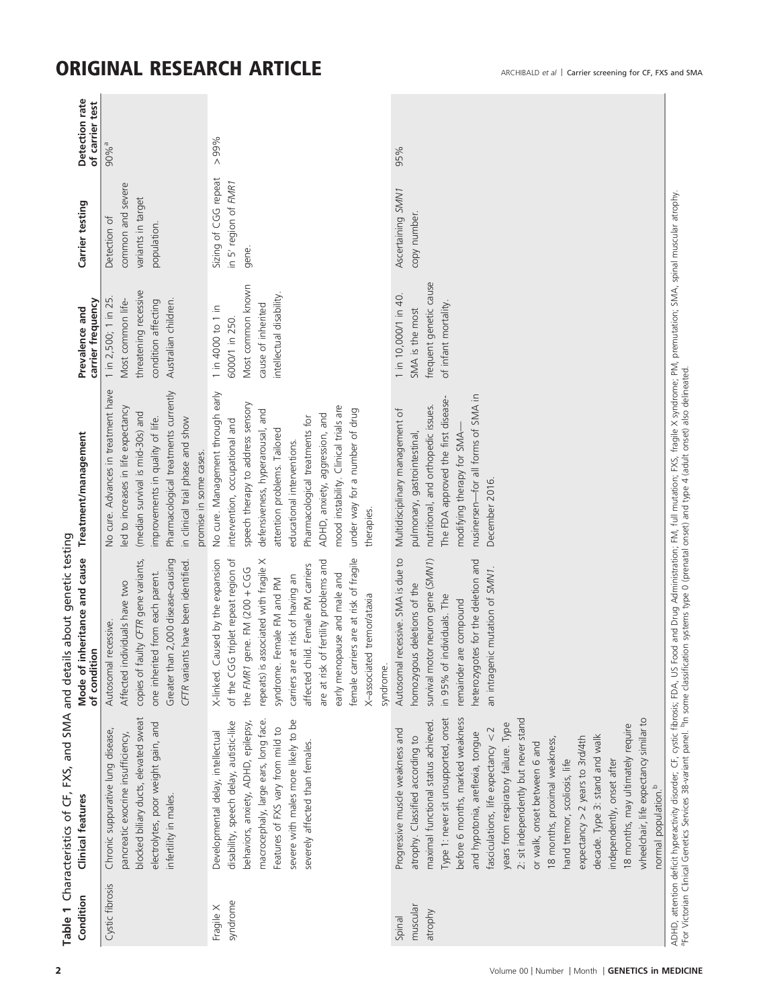|                 | Table 1 Characteristics of CF, FXS, and SMA and details about genetic testing |                                               |                                       |                                     |                      |                                   |
|-----------------|-------------------------------------------------------------------------------|-----------------------------------------------|---------------------------------------|-------------------------------------|----------------------|-----------------------------------|
| Condition       | Clinical features                                                             | Mode of inheritance and cause<br>of condition | Treatment/management                  | carrier frequency<br>Prevalence and | Carrier testing      | Detection rate<br>of carrier test |
| Cystic fibrosis | Chronic suppurative lung disease,                                             | Autosomal recessive.                          | No cure. Advances in treatment have   | 1 in 2,500; 1 in 25                 | Detection of         | 90% <sup>a</sup>                  |
|                 | pancreatic exocrine insufficiency,                                            | individuals have two<br>Affected              | led to increases in life expectancy   | Most common life-                   | common and severe    |                                   |
|                 | blocked biliary ducts, elevated sweat                                         | faulty CFTR gene variants,<br>copies of       | (median survival is mid-30s) and      | threatening recessive               | variants in target   |                                   |
|                 | electrolytes, poor weight gain, and                                           | one inherited from each parent.               | improvements in quality of life.      | condition affecting                 | population.          |                                   |
|                 | infertility in males.                                                         | Greater than 2,000 disease-causing            | Pharmacological treatments currently  | Australian children.                |                      |                                   |
|                 |                                                                               | CFTR variants have been identified            | in clinical trial phase and show      |                                     |                      |                                   |
|                 |                                                                               |                                               | promise in some cases.                |                                     |                      |                                   |
| Fragile X       | Developmental delay, intellectual                                             | Caused by the expansion<br>X-linked.          | No cure. Management through early     | 1 in 4000 to 1 in                   | Sizing of CGG repeat | $> 99\%$                          |
| syndrome        | disability, speech delay, autistic-like                                       | G triplet repeat region of<br>of the CG       | intervention, occupational and        | 6000/1 in 250.                      | in 5' region of FMR1 |                                   |
|                 | behaviors, anxiety, ADHD, epilepsy,                                           | gene. FM (200 + CGG<br>the FMR1               | speech therapy to address sensory     | Most common known                   | gene.                |                                   |
|                 | macrocephaly, large ears, long face.                                          | associated with fragile X<br>repeats) is      | defensiveness, hyperarousal, and      | cause of inherited                  |                      |                                   |
|                 | Features of FXS vary from mild to                                             | syndrome. Female FM and PM                    | attention problems. Tailored          | intellectual disability             |                      |                                   |
|                 | severe with males more likely to be                                           | carriers are at risk of having an             | educational interventions.            |                                     |                      |                                   |
|                 | severely affected than females.                                               | affected child. Female PM carriers            | Pharmacological treatments for        |                                     |                      |                                   |
|                 |                                                                               | are at risk of fertility problems and         | ADHD, anxiety, aggression, and        |                                     |                      |                                   |
|                 |                                                                               | early menopause and male and                  | mood instability. Clinical trials are |                                     |                      |                                   |
|                 |                                                                               | female carriers are at risk of fragile        | under way for a number of drug        |                                     |                      |                                   |
|                 |                                                                               | X-associated tremor/ataxia                    | therapies                             |                                     |                      |                                   |
|                 |                                                                               | syndrome.                                     |                                       |                                     |                      |                                   |
| Spinal          | Progressive muscle weakness and                                               | Autosomal recessive. SMA is due to            | Multidisciplinary management of       | 1 in 10,000/1 in 40.                | Ascertaining SMN1    | 95%                               |
| muscular        | atrophy. Classified according to                                              | homozygous deletions of the                   | pulmonary, gastrointestinal           | SMA is the most                     | copy number.         |                                   |
| atrophy         | maximal functional status achieved.                                           | survival motor neuron gene (SMN1)             | nutritional, and orthopedic issues.   | frequent genetic cause              |                      |                                   |
|                 | Type 1: never sit unsupported, onset                                          | in 95% of individuals. The                    | The FDA approved the first disease-   | of infant mortality                 |                      |                                   |
|                 | before 6 months, marked weakness                                              | remainder are compound                        | modifying therapy for SMA             |                                     |                      |                                   |
|                 | and hypotonia, areflexia, tongue                                              | heterozygotes for the deletion and            | nusinersen-for all forms of SMA in    |                                     |                      |                                   |
|                 | fasciculations, life expectancy $<$ 2                                         | an intragenic mutation of SMN1                | December 2016                         |                                     |                      |                                   |
|                 | years from respiratory failure. Type                                          |                                               |                                       |                                     |                      |                                   |
|                 | 2: sit independently but never stand                                          |                                               |                                       |                                     |                      |                                   |
|                 | or walk, onset between 6 and                                                  |                                               |                                       |                                     |                      |                                   |
|                 | 18 months, proximal weakness,                                                 |                                               |                                       |                                     |                      |                                   |
|                 | hand tremor, scoliosis, life                                                  |                                               |                                       |                                     |                      |                                   |
|                 | expectancy $>$ 2 years to 3rd/4th                                             |                                               |                                       |                                     |                      |                                   |
|                 | decade. Type 3: stand and walk                                                |                                               |                                       |                                     |                      |                                   |
|                 | independently, onset after                                                    |                                               |                                       |                                     |                      |                                   |
|                 | 18 months, may ultimately require                                             |                                               |                                       |                                     |                      |                                   |
|                 | wheelchair, life expectancy similar to                                        |                                               |                                       |                                     |                      |                                   |
|                 | normal population. <sup>b</sup>                                               |                                               |                                       |                                     |                      |                                   |

# <span id="page-1-0"></span>ORIGINAL RESEARCH ARTICLE ARTICLE ARCHIBALD et al | Carrier screening for CF, FXS and SMA

ADHD, attention deficit hyperactivity disorder; CF, cystic fibrosis; FDA, US Food and Drug Administration; FM, full mutation; FXS, fragile X syndrome; PM, premutation; SMA, spinal muscular atrophy.<br>"For Victorian Clinical ADHD, attention deficit hyperactivity disorder; CF, cystic fibrosis; FDA, US Food and Drug Administration; FM, full mutation; FXS, fragile X syndrome; PM, premutation; SMA, spinal muscular atrophy.<br>"For Victorian Clinical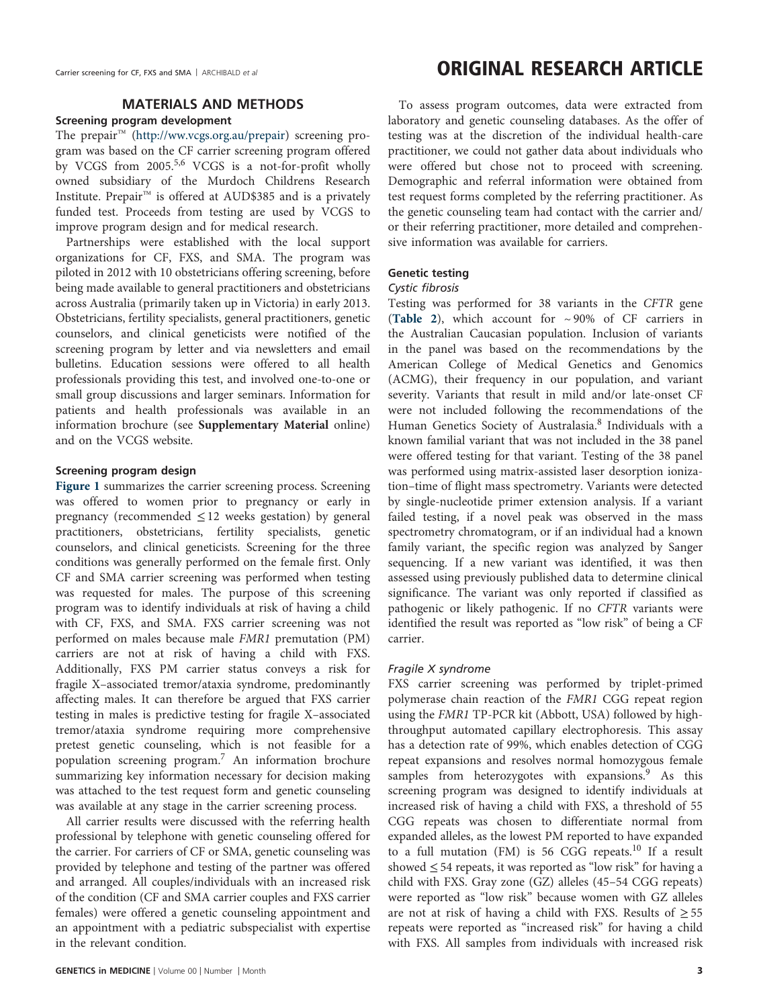### MATERIALS AND METHODS

### Screening program development

The prepair<sup>™</sup> ([http://ww.vcgs.org.au/prepair\)](http://ww.vcgs.org.au/prepair) screening program was based on the CF carrier screening program offered by VCGS from 2005[.5](#page-9-0),[6](#page-9-0) VCGS is a not-for-profit wholly owned subsidiary of the Murdoch Childrens Research Institute. Prepair<sup>tM</sup> is offered at AUD\$385 and is a privately funded test. Proceeds from testing are used by VCGS to improve program design and for medical research.

Partnerships were established with the local support organizations for CF, FXS, and SMA. The program was piloted in 2012 with 10 obstetricians offering screening, before being made available to general practitioners and obstetricians across Australia (primarily taken up in Victoria) in early 2013. Obstetricians, fertility specialists, general practitioners, genetic counselors, and clinical geneticists were notified of the screening program by letter and via newsletters and email bulletins. Education sessions were offered to all health professionals providing this test, and involved one-to-one or small group discussions and larger seminars. Information for patients and health professionals was available in an information brochure (see Supplementary Material online) and on the VCGS website.

### Screening program design

[Figure 1](#page-3-0) summarizes the carrier screening process. Screening was offered to women prior to pregnancy or early in pregnancy (recommended  $\leq$  12 weeks gestation) by general practitioners, obstetricians, fertility specialists, genetic counselors, and clinical geneticists. Screening for the three conditions was generally performed on the female first. Only CF and SMA carrier screening was performed when testing was requested for males. The purpose of this screening program was to identify individuals at risk of having a child with CF, FXS, and SMA. FXS carrier screening was not performed on males because male FMR1 premutation (PM) carriers are not at risk of having a child with FXS. Additionally, FXS PM carrier status conveys a risk for fragile X–associated tremor/ataxia syndrome, predominantly affecting males. It can therefore be argued that FXS carrier testing in males is predictive testing for fragile X–associated tremor/ataxia syndrome requiring more comprehensive pretest genetic counseling, which is not feasible for a population screening program.[7](#page-9-0) An information brochure summarizing key information necessary for decision making was attached to the test request form and genetic counseling was available at any stage in the carrier screening process.

All carrier results were discussed with the referring health professional by telephone with genetic counseling offered for the carrier. For carriers of CF or SMA, genetic counseling was provided by telephone and testing of the partner was offered and arranged. All couples/individuals with an increased risk of the condition (CF and SMA carrier couples and FXS carrier females) were offered a genetic counseling appointment and an appointment with a pediatric subspecialist with expertise in the relevant condition.

### Carrier screening for CF. FXS and SMA | ARCHIBALD et al **ORIGINAL RESEARCH ARTICLE**

To assess program outcomes, data were extracted from laboratory and genetic counseling databases. As the offer of testing was at the discretion of the individual health-care practitioner, we could not gather data about individuals who were offered but chose not to proceed with screening. Demographic and referral information were obtained from test request forms completed by the referring practitioner. As the genetic counseling team had contact with the carrier and/ or their referring practitioner, more detailed and comprehensive information was available for carriers.

### Genetic testing

#### Cystic fibrosis

Testing was performed for 38 variants in the CFTR gene ([Table 2](#page-4-0)), which account for  $\sim$  90% of CF carriers in the Australian Caucasian population. Inclusion of variants in the panel was based on the recommendations by the American College of Medical Genetics and Genomics (ACMG), their frequency in our population, and variant severity. Variants that result in mild and/or late-onset CF were not included following the recommendations of the Human Genetics Society of Australasia.[8](#page-9-0) Individuals with a known familial variant that was not included in the 38 panel were offered testing for that variant. Testing of the 38 panel was performed using matrix-assisted laser desorption ionization–time of flight mass spectrometry. Variants were detected by single-nucleotide primer extension analysis. If a variant failed testing, if a novel peak was observed in the mass spectrometry chromatogram, or if an individual had a known family variant, the specific region was analyzed by Sanger sequencing. If a new variant was identified, it was then assessed using previously published data to determine clinical significance. The variant was only reported if classified as pathogenic or likely pathogenic. If no CFTR variants were identified the result was reported as "low risk" of being a CF carrier.

### Fragile X syndrome

FXS carrier screening was performed by triplet-primed polymerase chain reaction of the FMR1 CGG repeat region using the FMR1 TP-PCR kit (Abbott, USA) followed by highthroughput automated capillary electrophoresis. This assay has a detection rate of 99%, which enables detection of CGG repeat expansions and resolves normal homozygous female samples from heterozygotes with expansions.<sup>[9](#page-9-0)</sup> As this screening program was designed to identify individuals at increased risk of having a child with FXS, a threshold of 55 CGG repeats was chosen to differentiate normal from expanded alleles, as the lowest PM reported to have expanded to a full mutation (FM) is 56 CGG repeats.[10](#page-9-0) If a result showed  $\leq$  54 repeats, it was reported as "low risk" for having a child with FXS. Gray zone (GZ) alleles (45–54 CGG repeats) were reported as "low risk" because women with GZ alleles are not at risk of having a child with FXS. Results of  $\geq 55$ repeats were reported as "increased risk" for having a child with FXS. All samples from individuals with increased risk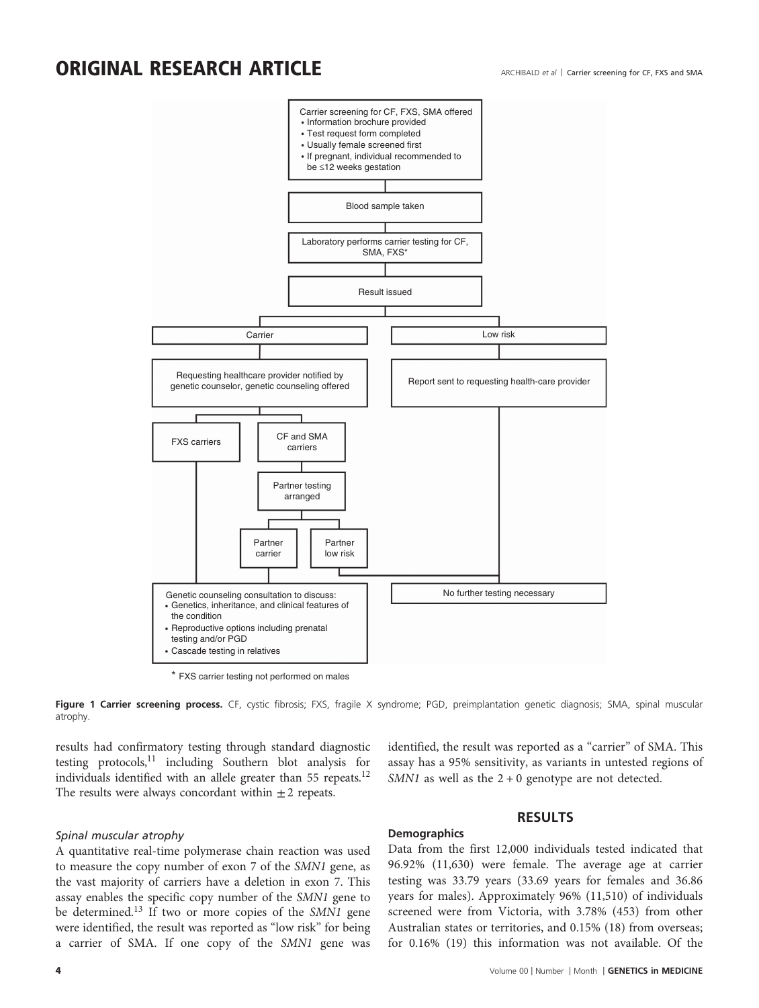### <span id="page-3-0"></span>ORIGINAL RESEARCH ARTICLE



\* FXS carrier testing not performed on males



**Demographics** 

results had confirmatory testing through standard diagnostic testing protocols[,11](#page-9-0) including Southern blot analysis for individuals identified with an allele greater than 55 repeats.<sup>[12](#page-9-0)</sup> The results were always concordant within  $\pm 2$  repeats.

#### Spinal muscular atrophy

A quantitative real-time polymerase chain reaction was used to measure the copy number of exon 7 of the SMN1 gene, as the vast majority of carriers have a deletion in exon 7. This assay enables the specific copy number of the SMN1 gene to be determined.<sup>[13](#page-9-0)</sup> If two or more copies of the SMN1 gene were identified, the result was reported as "low risk" for being a carrier of SMA. If one copy of the SMN1 gene was identified, the result was reported as a "carrier" of SMA. This assay has a 95% sensitivity, as variants in untested regions of SMN1 as well as the  $2 + 0$  genotype are not detected.

### RESULTS

Data from the first 12,000 individuals tested indicated that 96.92% (11,630) were female. The average age at carrier testing was 33.79 years (33.69 years for females and 36.86 years for males). Approximately 96% (11,510) of individuals screened were from Victoria, with 3.78% (453) from other Australian states or territories, and 0.15% (18) from overseas; for 0.16% (19) this information was not available. Of the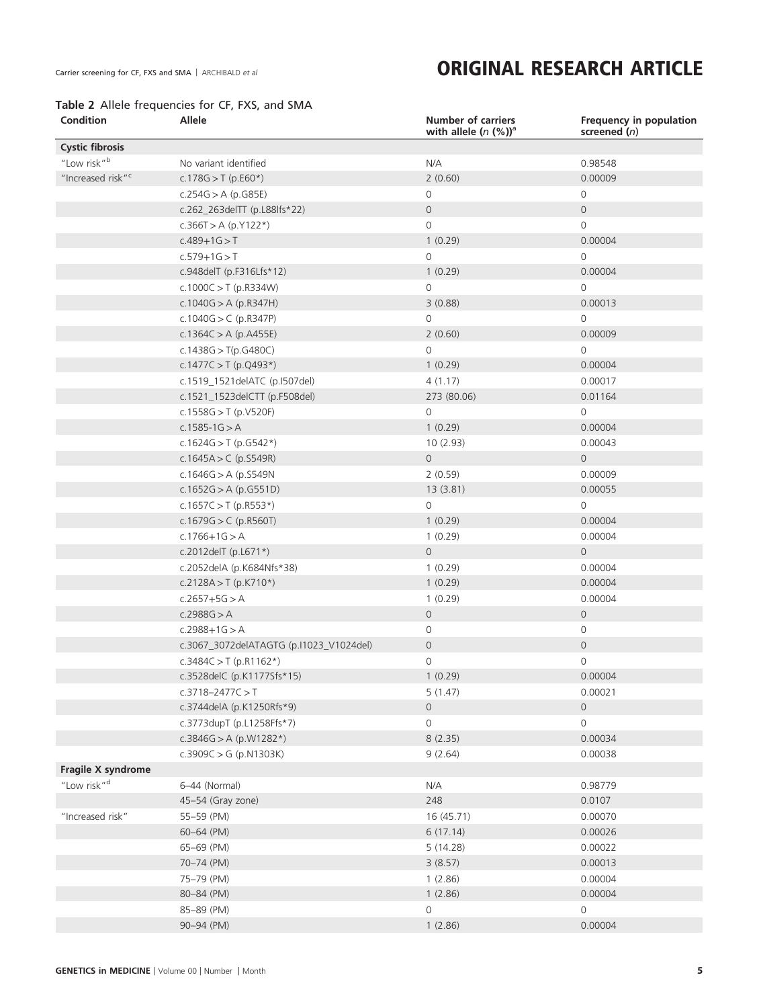# <span id="page-4-0"></span> $\Box$  Carrier screening for CF, FXS and SMA | ARCHIBALD et al **ORIGINAL RESEARCH ARTICLE**

### Table 2 Allele frequencies for CF, FXS, and SMA

| Condition                     | Allele                                  | <b>Number of carriers</b><br>with allele $(n \ (\%)$ <sup>a</sup> | Frequency in population<br>screened $(n)$ |
|-------------------------------|-----------------------------------------|-------------------------------------------------------------------|-------------------------------------------|
| <b>Cystic fibrosis</b>        |                                         |                                                                   |                                           |
| "Low risk"b                   | No variant identified                   | N/A                                                               | 0.98548                                   |
| "Increased risk" <sup>c</sup> | $c.178G > T(p.E60*)$                    | 2(0.60)                                                           | 0.00009                                   |
|                               | $c.254G > A$ (p. G85E)                  | 0                                                                 | $\circ$                                   |
|                               | c.262_263delTT (p.L88lfs*22)            | $\circ$                                                           | $\overline{0}$                            |
|                               | $c.366T > A$ (p.Y122*)                  | $\circ$                                                           | $\mathbf{0}$                              |
|                               | $c.489 + 1G > T$                        | 1(0.29)                                                           | 0.00004                                   |
|                               | $c.579 + 1G > T$                        | 0                                                                 | 0                                         |
|                               | c.948delT (p.F316Lfs*12)                | 1(0.29)                                                           | 0.00004                                   |
|                               | $c.1000C > T$ (p.R334W)                 | 0                                                                 | 0                                         |
|                               | c.1040G > A (p.R347H)                   | 3(0.88)                                                           | 0.00013                                   |
|                               | c.1040G > C (p.R347P)                   | 0                                                                 | 0                                         |
|                               | c.1364C > A (p.A455E)                   | 2(0.60)                                                           | 0.00009                                   |
|                               | c.1438G > $T(p.G480C)$                  | 0                                                                 | 0                                         |
|                               | c.1477C > T (p.Q493*)                   | 1(0.29)                                                           | 0.00004                                   |
|                               | c.1519_1521delATC (p.I507del)           | 4(1.17)                                                           | 0.00017                                   |
|                               | c.1521_1523delCTT (p.F508del)           | 273 (80.06)                                                       | 0.01164                                   |
|                               | c.1558G > T (p.V520F)                   | $\mathbf{O}$                                                      | 0                                         |
|                               | $c.1585 - 1G > A$                       | 1(0.29)                                                           | 0.00004                                   |
|                               | c.1624G > T (p.6542*)                   | 10 (2.93)                                                         | 0.00043                                   |
|                               | c.1645A > C (p.S549R)                   | $\overline{0}$                                                    | $\overline{0}$                            |
|                               | c.1646G > A (p.5549N                    | 2(0.59)                                                           | 0.00009                                   |
|                               | c.1652G > A (p.G551D)                   | 13 (3.81)                                                         | 0.00055                                   |
|                               | c.1657C > T (p.R553*)                   | $\mathbf 0$                                                       | 0                                         |
|                               | c.1679G > C (p.R560T)                   | 1(0.29)                                                           | 0.00004                                   |
|                               | $c.1766 + 1G > A$                       | 1(0.29)                                                           | 0.00004                                   |
|                               | c.2012delT $(p.L671*)$                  | $\overline{0}$                                                    | $\overline{0}$                            |
|                               | c.2052delA (p.K684Nfs*38)               | 1(0.29)                                                           | 0.00004                                   |
|                               | $c.2128A > T(p.K710*)$                  | 1(0.29)                                                           | 0.00004                                   |
|                               | $c.2657 + 5G > A$                       | 1(0.29)                                                           | 0.00004                                   |
|                               | c.2988G > A                             | $\overline{0}$                                                    | $\overline{O}$                            |
|                               | $c.2988 + 1G > A$                       | 0                                                                 | $\circ$                                   |
|                               | c.3067_3072delATAGTG (p.I1023_V1024del) | $\mathsf{O}$                                                      | $\overline{O}$                            |
|                               | $c.3484C > T$ (p.R1162*)                | $\mathbf{O}$                                                      | 0                                         |
|                               | c.3528delC (p.K1177Sfs*15)              | 1(0.29)                                                           | 0.00004                                   |
|                               | $c.3718 - 2477C > T$                    | 5 (1.47)                                                          | 0.00021                                   |
|                               | c.3744delA (p.K1250Rfs*9)               | $\mathsf{O}\xspace$                                               | $\mathsf{O}$                              |
|                               | c.3773dupT (p.L1258Ffs*7)               | $\mathsf{O}\xspace$                                               | 0                                         |
|                               | c.3846G > A (p.W1282*)                  | 8(2.35)                                                           | 0.00034                                   |
|                               | c.3909C > G (p.N1303K)                  | 9(2.64)                                                           | 0.00038                                   |
| Fragile X syndrome            |                                         |                                                                   |                                           |
| "Low risk" <sup>d</sup>       | 6-44 (Normal)                           | N/A                                                               | 0.98779                                   |
|                               | 45-54 (Gray zone)                       | 248                                                               | 0.0107                                    |
| "Increased risk"              | 55-59 (PM)                              | 16(45.71)                                                         | 0.00070                                   |
|                               | 60-64 (PM)                              | 6(17.14)                                                          | 0.00026                                   |
|                               | 65-69 (PM)                              | 5(14.28)                                                          | 0.00022                                   |
|                               | 70-74 (PM)                              | 3(8.57)                                                           | 0.00013                                   |
|                               | 75-79 (PM)                              | 1(2.86)                                                           | 0.00004                                   |
|                               | 80-84 (PM)                              | 1(2.86)                                                           | 0.00004                                   |
|                               | 85-89 (PM)                              | $\mathsf{O}\xspace$                                               | $\circ$                                   |
|                               | 90-94 (PM)                              | 1(2.86)                                                           | 0.00004                                   |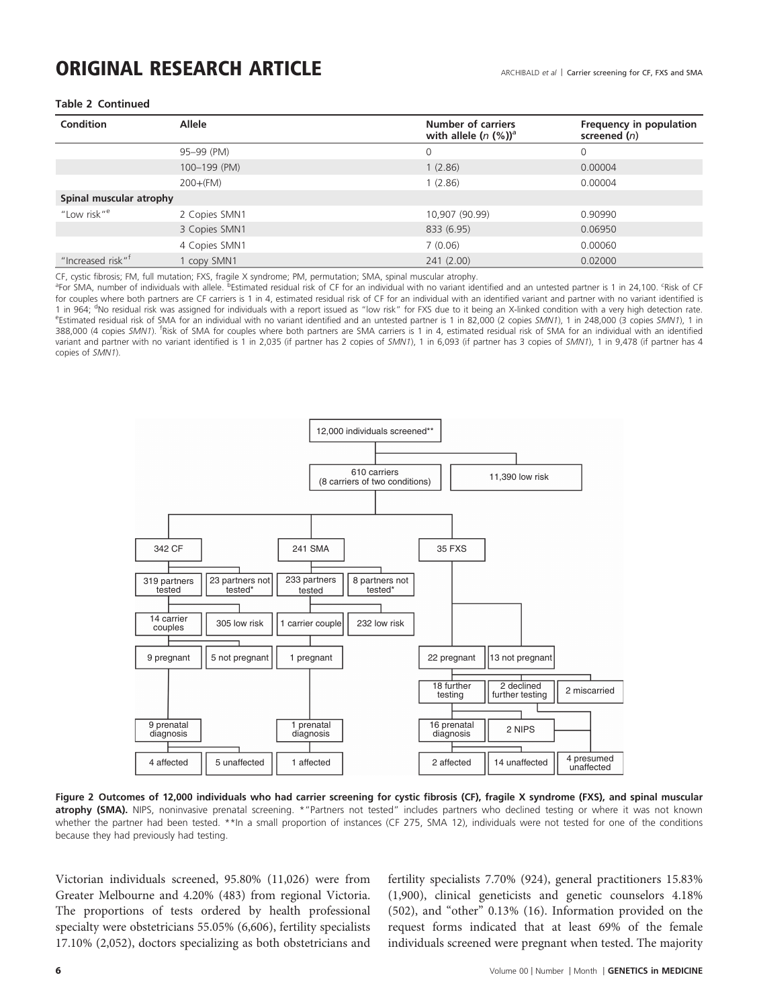## <span id="page-5-0"></span>ORIGINAL RESEARCH ARTICLE

#### Table 2 Continued

| <b>Condition</b>              | <b>Allele</b> | <b>Number of carriers</b><br>with allele $(n (%))^a$ | Frequency in population<br>screened $(n)$ |
|-------------------------------|---------------|------------------------------------------------------|-------------------------------------------|
|                               | 95-99 (PM)    | 0                                                    | 0                                         |
|                               | 100-199 (PM)  | 1(2.86)                                              | 0.00004                                   |
|                               | $200+(FM)$    | 1(2.86)                                              | 0.00004                                   |
| Spinal muscular atrophy       |               |                                                      |                                           |
| "Low risk" <sup>e</sup>       | 2 Copies SMN1 | 10,907 (90.99)                                       | 0.90990                                   |
|                               | 3 Copies SMN1 | 833 (6.95)                                           | 0.06950                                   |
|                               | 4 Copies SMN1 | 7(0.06)                                              | 0.00060                                   |
| "Increased risk" <sup>†</sup> | copy SMN1     | 241 (2.00)                                           | 0.02000                                   |

CF, cystic fibrosis; FM, full mutation; FXS, fragile X syndrome; PM, permutation; SMA, spinal muscular atrophy.<br><sup>a</sup>For SMA, number of individuals with allele. <sup>b</sup>Estimated residual risk of CF for an individual with no vari for couples where both partners are CF carriers is 1 in 4, estimated residual risk of CF for an individual with an identified variant and partner with no variant identified is 1 in 964; <sup>d</sup>No residual risk was assigned for individuals with a report issued as "low risk" for FXS due to it being an X-linked condition with a very high detection rate.<br>Esstimated recidual risk of SMA for an individua <sup>e</sup>Estimated residual risk of SMA for an individual with no variant identified and an untested partner is 1 in 82,000 (2 copies SMN1), 1 in 248,000 (3 copies SMN1), 1 in 388,000 (4 copies SMN1). <sup>f</sup> Risk of SMA for couples where both partners are SMA carriers is 1 in 4, estimated residual risk of SMA for an individual with an identified variant and partner with no variant identified is 1 in 2,035 (if partner has 2 copies of SMN1), 1 in 6,093 (if partner has 3 copies of SMN1), 1 in 9,478 (if partner has 4 copies of SMN1).



Figure 2 Outcomes of 12,000 individuals who had carrier screening for cystic fibrosis (CF), fragile X syndrome (FXS), and spinal muscular atrophy (SMA). NIPS, noninvasive prenatal screening. \*"Partners not tested" includes partners who declined testing or where it was not known whether the partner had been tested. \*\*In a small proportion of instances (CF 275, SMA 12), individuals were not tested for one of the conditions because they had previously had testing.

Victorian individuals screened, 95.80% (11,026) were from Greater Melbourne and 4.20% (483) from regional Victoria. The proportions of tests ordered by health professional specialty were obstetricians 55.05% (6,606), fertility specialists 17.10% (2,052), doctors specializing as both obstetricians and fertility specialists 7.70% (924), general practitioners 15.83% (1,900), clinical geneticists and genetic counselors 4.18% (502), and "other" 0.13% (16). Information provided on the request forms indicated that at least 69% of the female individuals screened were pregnant when tested. The majority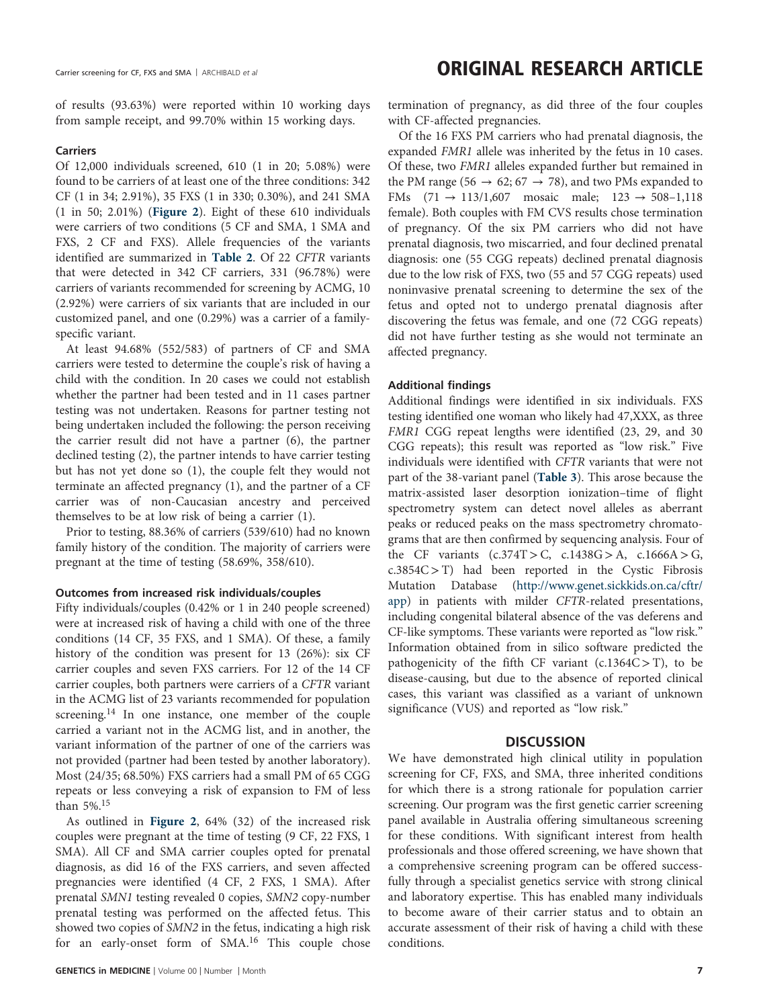Carrier screening for CF. FXS and SMA | ARCHIBALD et al **ORIGINAL RESEARCH ARTICLE** 

of results (93.63%) were reported within 10 working days from sample receipt, and 99.70% within 15 working days.

#### Carriers

Of 12,000 individuals screened, 610 (1 in 20; 5.08%) were found to be carriers of at least one of the three conditions: 342 CF (1 in 34; 2.91%), 35 FXS (1 in 330; 0.30%), and 241 SMA (1 in 50; 2.01%) ([Figure 2](#page-5-0)). Eight of these 610 individuals were carriers of two conditions (5 CF and SMA, 1 SMA and FXS, 2 CF and FXS). Allele frequencies of the variants identified are summarized in [Table 2](#page-4-0). Of 22 CFTR variants that were detected in 342 CF carriers, 331 (96.78%) were carriers of variants recommended for screening by ACMG, 10 (2.92%) were carriers of six variants that are included in our customized panel, and one (0.29%) was a carrier of a familyspecific variant.

At least 94.68% (552/583) of partners of CF and SMA carriers were tested to determine the couple's risk of having a child with the condition. In 20 cases we could not establish whether the partner had been tested and in 11 cases partner testing was not undertaken. Reasons for partner testing not being undertaken included the following: the person receiving the carrier result did not have a partner (6), the partner declined testing (2), the partner intends to have carrier testing but has not yet done so (1), the couple felt they would not terminate an affected pregnancy (1), and the partner of a CF carrier was of non-Caucasian ancestry and perceived themselves to be at low risk of being a carrier (1).

Prior to testing, 88.36% of carriers (539/610) had no known family history of the condition. The majority of carriers were pregnant at the time of testing (58.69%, 358/610).

#### Outcomes from increased risk individuals/couples

Fifty individuals/couples (0.42% or 1 in 240 people screened) were at increased risk of having a child with one of the three conditions (14 CF, 35 FXS, and 1 SMA). Of these, a family history of the condition was present for 13 (26%): six CF carrier couples and seven FXS carriers. For 12 of the 14 CF carrier couples, both partners were carriers of a CFTR variant in the ACMG list of 23 variants recommended for population screening.<sup>[14](#page-9-0)</sup> In one instance, one member of the couple carried a variant not in the ACMG list, and in another, the variant information of the partner of one of the carriers was not provided (partner had been tested by another laboratory). Most (24/35; 68.50%) FXS carriers had a small PM of 65 CGG repeats or less conveying a risk of expansion to FM of less than 5%[.15](#page-9-0)

As outlined in [Figure 2](#page-5-0), 64% (32) of the increased risk couples were pregnant at the time of testing (9 CF, 22 FXS, 1 SMA). All CF and SMA carrier couples opted for prenatal diagnosis, as did 16 of the FXS carriers, and seven affected pregnancies were identified (4 CF, 2 FXS, 1 SMA). After prenatal SMN1 testing revealed 0 copies, SMN2 copy-number prenatal testing was performed on the affected fetus. This showed two copies of SMN2 in the fetus, indicating a high risk for an early-onset form of SMA.[16](#page-9-0) This couple chose termination of pregnancy, as did three of the four couples with CF-affected pregnancies.

Of the 16 FXS PM carriers who had prenatal diagnosis, the expanded FMR1 allele was inherited by the fetus in 10 cases. Of these, two FMR1 alleles expanded further but remained in the PM range (56  $\rightarrow$  62; 67  $\rightarrow$  78), and two PMs expanded to FMs  $(71 \rightarrow 113/1,607$  mosaic male;  $123 \rightarrow 508-1,118$ female). Both couples with FM CVS results chose termination of pregnancy. Of the six PM carriers who did not have prenatal diagnosis, two miscarried, and four declined prenatal diagnosis: one (55 CGG repeats) declined prenatal diagnosis due to the low risk of FXS, two (55 and 57 CGG repeats) used noninvasive prenatal screening to determine the sex of the fetus and opted not to undergo prenatal diagnosis after discovering the fetus was female, and one (72 CGG repeats) did not have further testing as she would not terminate an affected pregnancy.

### Additional findings

Additional findings were identified in six individuals. FXS testing identified one woman who likely had 47,XXX, as three FMR1 CGG repeat lengths were identified (23, 29, and 30 CGG repeats); this result was reported as "low risk." Five individuals were identified with CFTR variants that were not part of the 38-variant panel ([Table 3](#page-7-0)). This arose because the matrix-assisted laser desorption ionization–time of flight spectrometry system can detect novel alleles as aberrant peaks or reduced peaks on the mass spectrometry chromatograms that are then confirmed by sequencing analysis. Four of the CF variants  $(c.374T > C, c.1438G > A, c.1666A > G,$ c.3854C > T) had been reported in the Cystic Fibrosis Mutation Database [\(http://www.genet.sickkids.on.ca/cftr/](http://www.genet.sickkids.on.ca/cftr/app) [app](http://www.genet.sickkids.on.ca/cftr/app)) in patients with milder CFTR-related presentations, including congenital bilateral absence of the vas deferens and CF-like symptoms. These variants were reported as "low risk." Information obtained from in silico software predicted the pathogenicity of the fifth CF variant  $(c.1364C > T)$ , to be disease-causing, but due to the absence of reported clinical cases, this variant was classified as a variant of unknown significance (VUS) and reported as "low risk."

#### **DISCUSSION**

We have demonstrated high clinical utility in population screening for CF, FXS, and SMA, three inherited conditions for which there is a strong rationale for population carrier screening. Our program was the first genetic carrier screening panel available in Australia offering simultaneous screening for these conditions. With significant interest from health professionals and those offered screening, we have shown that a comprehensive screening program can be offered successfully through a specialist genetics service with strong clinical and laboratory expertise. This has enabled many individuals to become aware of their carrier status and to obtain an accurate assessment of their risk of having a child with these conditions.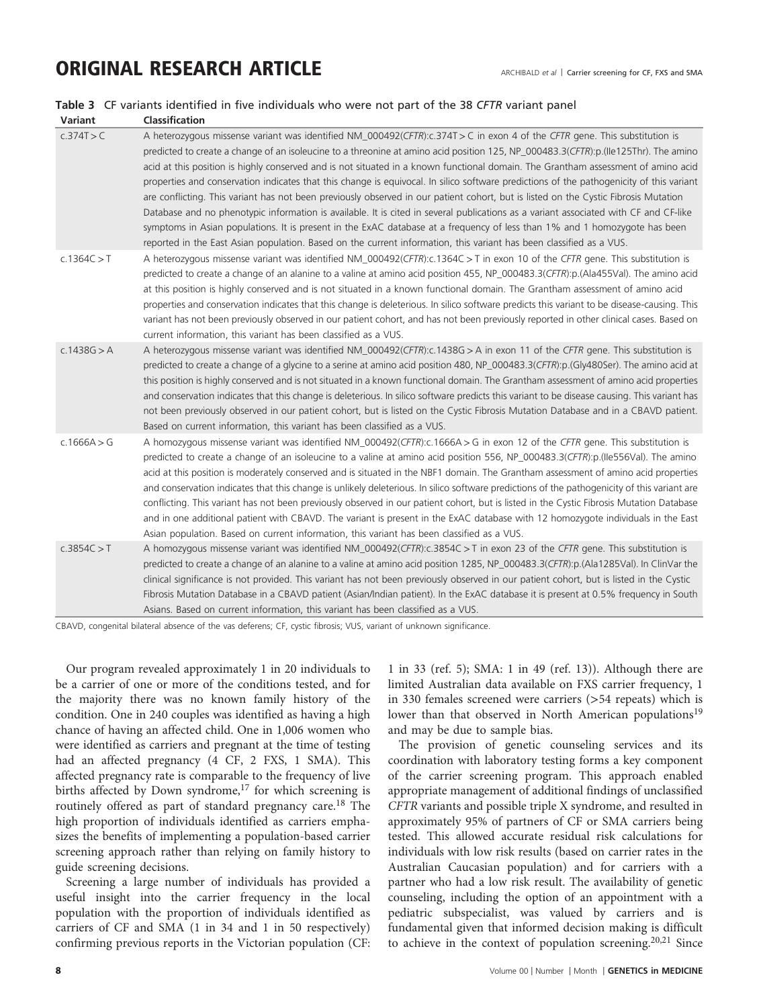## <span id="page-7-0"></span>ORIGINAL RESEARCH ARTICLE ARTICLE

Variant Classification

| c.374T > C  | A heterozygous missense variant was identified NM_000492(CFTR):c.374T > C in exon 4 of the CFTR gene. This substitution is<br>predicted to create a change of an isoleucine to a threonine at amino acid position 125, NP_000483.3(CFTR):p.(Ile125Thr). The amino<br>acid at this position is highly conserved and is not situated in a known functional domain. The Grantham assessment of amino acid<br>properties and conservation indicates that this change is equivocal. In silico software predictions of the pathogenicity of this variant<br>are conflicting. This variant has not been previously observed in our patient cohort, but is listed on the Cystic Fibrosis Mutation<br>Database and no phenotypic information is available. It is cited in several publications as a variant associated with CF and CF-like<br>symptoms in Asian populations. It is present in the ExAC database at a frequency of less than 1% and 1 homozygote has been<br>reported in the East Asian population. Based on the current information, this variant has been classified as a VUS. |
|-------------|----------------------------------------------------------------------------------------------------------------------------------------------------------------------------------------------------------------------------------------------------------------------------------------------------------------------------------------------------------------------------------------------------------------------------------------------------------------------------------------------------------------------------------------------------------------------------------------------------------------------------------------------------------------------------------------------------------------------------------------------------------------------------------------------------------------------------------------------------------------------------------------------------------------------------------------------------------------------------------------------------------------------------------------------------------------------------------------|
| c.1364C > T | A heterozygous missense variant was identified NM_000492(CFTR):c.1364C > T in exon 10 of the CFTR gene. This substitution is<br>predicted to create a change of an alanine to a valine at amino acid position 455, NP_000483.3(CFTR):p.(Ala455Val). The amino acid<br>at this position is highly conserved and is not situated in a known functional domain. The Grantham assessment of amino acid<br>properties and conservation indicates that this change is deleterious. In silico software predicts this variant to be disease-causing. This<br>variant has not been previously observed in our patient cohort, and has not been previously reported in other clinical cases. Based on<br>current information, this variant has been classified as a VUS.                                                                                                                                                                                                                                                                                                                         |
| c.1438G > A | A heterozygous missense variant was identified NM_000492(CFTR):c.1438G > A in exon 11 of the CFTR gene. This substitution is<br>predicted to create a change of a glycine to a serine at amino acid position 480, NP_000483.3(CFTR):p.(Gly480Ser). The amino acid at<br>this position is highly conserved and is not situated in a known functional domain. The Grantham assessment of amino acid properties<br>and conservation indicates that this change is deleterious. In silico software predicts this variant to be disease causing. This variant has<br>not been previously observed in our patient cohort, but is listed on the Cystic Fibrosis Mutation Database and in a CBAVD patient.<br>Based on current information, this variant has been classified as a VUS.                                                                                                                                                                                                                                                                                                         |
| c.1666A > G | A homozyqous missense variant was identified NM_000492(CFTR):c.1666A > G in exon 12 of the CFTR gene. This substitution is<br>predicted to create a change of an isoleucine to a valine at amino acid position 556, NP_000483.3(CFTR):p.(IIe556Val). The amino<br>acid at this position is moderately conserved and is situated in the NBF1 domain. The Grantham assessment of amino acid properties<br>and conservation indicates that this change is unlikely deleterious. In silico software predictions of the pathogenicity of this variant are<br>conflicting. This variant has not been previously observed in our patient cohort, but is listed in the Cystic Fibrosis Mutation Database<br>and in one additional patient with CBAVD. The variant is present in the ExAC database with 12 homozygote individuals in the East<br>Asian population. Based on current information, this variant has been classified as a VUS.                                                                                                                                                     |
| c.3854C > T | A homozyqous missense variant was identified NM_000492(CFTR):c.3854C > T in exon 23 of the CFTR gene. This substitution is<br>predicted to create a change of an alanine to a valine at amino acid position 1285, NP_000483.3(CFTR):p.(Ala1285Val). In ClinVar the<br>clinical significance is not provided. This variant has not been previously observed in our patient cohort, but is listed in the Cystic<br>Fibrosis Mutation Database in a CBAVD patient (Asian/Indian patient). In the ExAC database it is present at 0.5% frequency in South<br>Asians. Based on current information, this variant has been classified as a VUS.                                                                                                                                                                                                                                                                                                                                                                                                                                               |

### Table 3 CF variants identified in five individuals who were not part of the 38 CFTR variant panel

CBAVD, congenital bilateral absence of the vas deferens; CF, cystic fibrosis; VUS, variant of unknown significance.

Our program revealed approximately 1 in 20 individuals to be a carrier of one or more of the conditions tested, and for the majority there was no known family history of the condition. One in 240 couples was identified as having a high chance of having an affected child. One in 1,006 women who were identified as carriers and pregnant at the time of testing had an affected pregnancy (4 CF, 2 FXS, 1 SMA). This affected pregnancy rate is comparable to the frequency of live births affected by Down syndrome,<sup>[17](#page-9-0)</sup> for which screening is routinely offered as part of standard pregnancy care.[18](#page-9-0) The high proportion of individuals identified as carriers emphasizes the benefits of implementing a population-based carrier screening approach rather than relying on family history to guide screening decisions.

Screening a large number of individuals has provided a useful insight into the carrier frequency in the local population with the proportion of individuals identified as carriers of CF and SMA (1 in 34 and 1 in 50 respectively) confirming previous reports in the Victorian population (CF:

1 in 33 (ref. [5\)](#page-9-0); SMA: 1 in 49 (ref. [13\)\)](#page-9-0). Although there are limited Australian data available on FXS carrier frequency, 1 in 330 females screened were carriers (>54 repeats) which is lower than that observed in North American populations<sup>[19](#page-9-0)</sup> and may be due to sample bias.

The provision of genetic counseling services and its coordination with laboratory testing forms a key component of the carrier screening program. This approach enabled appropriate management of additional findings of unclassified CFTR variants and possible triple X syndrome, and resulted in approximately 95% of partners of CF or SMA carriers being tested. This allowed accurate residual risk calculations for individuals with low risk results (based on carrier rates in the Australian Caucasian population) and for carriers with a partner who had a low risk result. The availability of genetic counseling, including the option of an appointment with a pediatric subspecialist, was valued by carriers and is fundamental given that informed decision making is difficult to achieve in the context of population screening.<sup>[20,21](#page-9-0)</sup> Since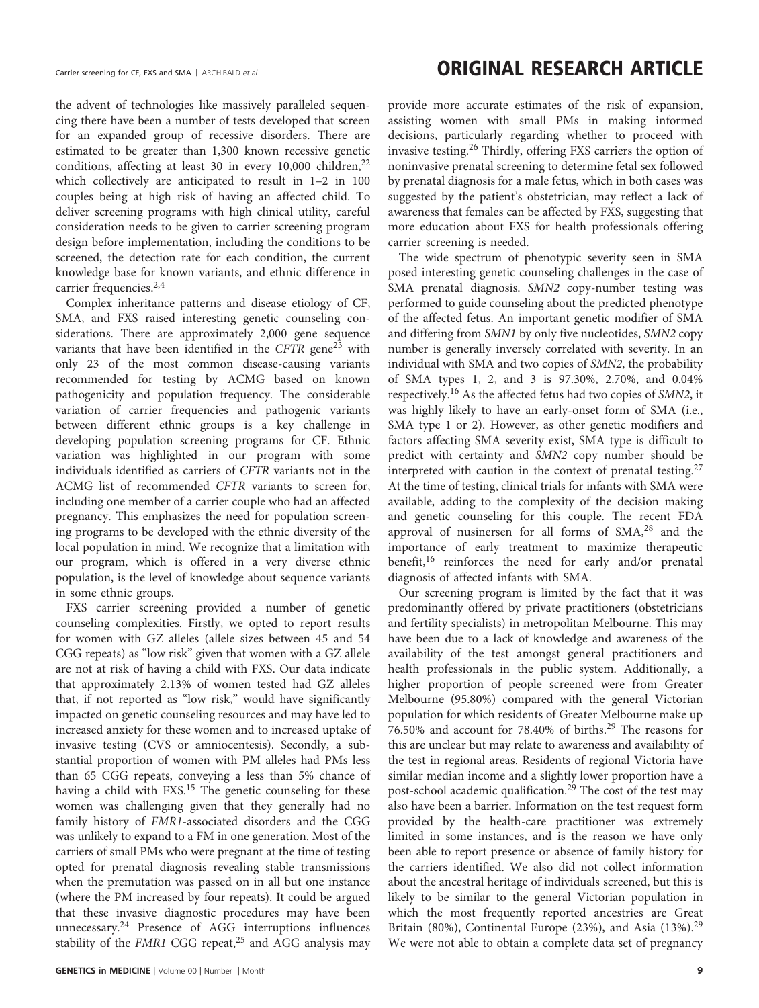the advent of technologies like massively paralleled sequencing there have been a number of tests developed that screen for an expanded group of recessive disorders. There are estimated to be greater than 1,300 known recessive genetic conditions, affecting at least 30 in every 10,000 children, $22$ which collectively are anticipated to result in 1–2 in 100 couples being at high risk of having an affected child. To deliver screening programs with high clinical utility, careful consideration needs to be given to carrier screening program design before implementation, including the conditions to be screened, the detection rate for each condition, the current knowledge base for known variants, and ethnic difference in carrier frequencies.<sup>2,4</sup>

Complex inheritance patterns and disease etiology of CF, SMA, and FXS raised interesting genetic counseling considerations. There are approximately 2,000 gene sequence variants that have been identified in the CFTR gene<sup>[23](#page-9-0)</sup> with only 23 of the most common disease-causing variants recommended for testing by ACMG based on known pathogenicity and population frequency. The considerable variation of carrier frequencies and pathogenic variants between different ethnic groups is a key challenge in developing population screening programs for CF. Ethnic variation was highlighted in our program with some individuals identified as carriers of CFTR variants not in the ACMG list of recommended CFTR variants to screen for, including one member of a carrier couple who had an affected pregnancy. This emphasizes the need for population screening programs to be developed with the ethnic diversity of the local population in mind. We recognize that a limitation with our program, which is offered in a very diverse ethnic population, is the level of knowledge about sequence variants in some ethnic groups.

FXS carrier screening provided a number of genetic counseling complexities. Firstly, we opted to report results for women with GZ alleles (allele sizes between 45 and 54 CGG repeats) as "low risk" given that women with a GZ allele are not at risk of having a child with FXS. Our data indicate that approximately 2.13% of women tested had GZ alleles that, if not reported as "low risk," would have significantly impacted on genetic counseling resources and may have led to increased anxiety for these women and to increased uptake of invasive testing (CVS or amniocentesis). Secondly, a substantial proportion of women with PM alleles had PMs less than 65 CGG repeats, conveying a less than 5% chance of having a child with FXS.<sup>[15](#page-9-0)</sup> The genetic counseling for these women was challenging given that they generally had no family history of FMR1-associated disorders and the CGG was unlikely to expand to a FM in one generation. Most of the carriers of small PMs who were pregnant at the time of testing opted for prenatal diagnosis revealing stable transmissions when the premutation was passed on in all but one instance (where the PM increased by four repeats). It could be argued that these invasive diagnostic procedures may have been unnecessary.[24](#page-9-0) Presence of AGG interruptions influences stability of the FMR1 CGG repeat, $25$  and AGG analysis may

provide more accurate estimates of the risk of expansion, assisting women with small PMs in making informed decisions, particularly regarding whether to proceed with invasive testing.[26](#page-10-0) Thirdly, offering FXS carriers the option of noninvasive prenatal screening to determine fetal sex followed by prenatal diagnosis for a male fetus, which in both cases was suggested by the patient's obstetrician, may reflect a lack of awareness that females can be affected by FXS, suggesting that more education about FXS for health professionals offering carrier screening is needed.

The wide spectrum of phenotypic severity seen in SMA posed interesting genetic counseling challenges in the case of SMA prenatal diagnosis. SMN2 copy-number testing was performed to guide counseling about the predicted phenotype of the affected fetus. An important genetic modifier of SMA and differing from SMN1 by only five nucleotides, SMN2 copy number is generally inversely correlated with severity. In an individual with SMA and two copies of SMN2, the probability of SMA types 1, 2, and 3 is 97.30%, 2.70%, and 0.04% respectively.[16](#page-9-0) As the affected fetus had two copies of SMN2, it was highly likely to have an early-onset form of SMA (i.e., SMA type 1 or 2). However, as other genetic modifiers and factors affecting SMA severity exist, SMA type is difficult to predict with certainty and SMN2 copy number should be interpreted with caution in the context of prenatal testing. $27$ At the time of testing, clinical trials for infants with SMA were available, adding to the complexity of the decision making and genetic counseling for this couple. The recent FDA approval of nusinersen for all forms of SMA,[28](#page-10-0) and the importance of early treatment to maximize therapeutic benefit,<sup>[16](#page-9-0)</sup> reinforces the need for early and/or prenatal diagnosis of affected infants with SMA.

Our screening program is limited by the fact that it was predominantly offered by private practitioners (obstetricians and fertility specialists) in metropolitan Melbourne. This may have been due to a lack of knowledge and awareness of the availability of the test amongst general practitioners and health professionals in the public system. Additionally, a higher proportion of people screened were from Greater Melbourne (95.80%) compared with the general Victorian population for which residents of Greater Melbourne make up 76.50% and account for 78.40% of births.[29](#page-10-0) The reasons for this are unclear but may relate to awareness and availability of the test in regional areas. Residents of regional Victoria have similar median income and a slightly lower proportion have a post-school academic qualification.<sup>[29](#page-10-0)</sup> The cost of the test may also have been a barrier. Information on the test request form provided by the health-care practitioner was extremely limited in some instances, and is the reason we have only been able to report presence or absence of family history for the carriers identified. We also did not collect information about the ancestral heritage of individuals screened, but this is likely to be similar to the general Victorian population in which the most frequently reported ancestries are Great Britain (80%), Continental Europe (23%), and Asia (13%).<sup>[29](#page-10-0)</sup> We were not able to obtain a complete data set of pregnancy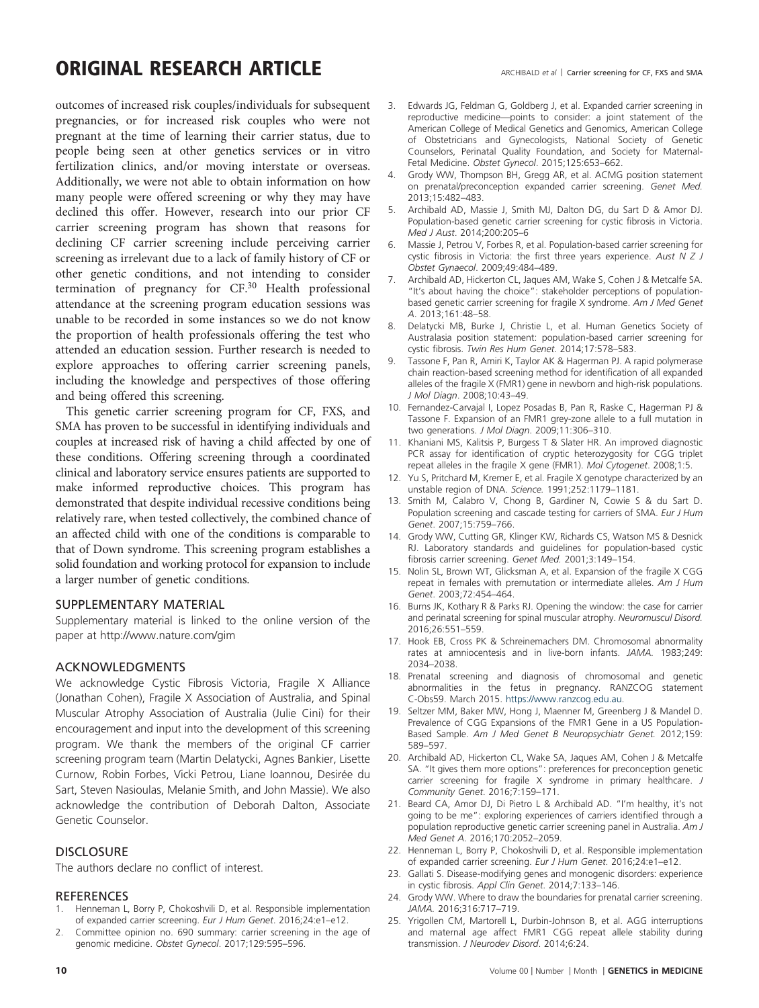## <span id="page-9-0"></span>ORIGINAL RESEARCH ARTICLE

outcomes of increased risk couples/individuals for subsequent pregnancies, or for increased risk couples who were not pregnant at the time of learning their carrier status, due to people being seen at other genetics services or in vitro fertilization clinics, and/or moving interstate or overseas. Additionally, we were not able to obtain information on how many people were offered screening or why they may have declined this offer. However, research into our prior CF carrier screening program has shown that reasons for declining CF carrier screening include perceiving carrier screening as irrelevant due to a lack of family history of CF or other genetic conditions, and not intending to consider termination of pregnancy for CF.<sup>[30](#page-10-0)</sup> Health professional attendance at the screening program education sessions was unable to be recorded in some instances so we do not know the proportion of health professionals offering the test who attended an education session. Further research is needed to explore approaches to offering carrier screening panels, including the knowledge and perspectives of those offering and being offered this screening.

This genetic carrier screening program for CF, FXS, and SMA has proven to be successful in identifying individuals and couples at increased risk of having a child affected by one of these conditions. Offering screening through a coordinated clinical and laboratory service ensures patients are supported to make informed reproductive choices. This program has demonstrated that despite individual recessive conditions being relatively rare, when tested collectively, the combined chance of an affected child with one of the conditions is comparable to that of Down syndrome. This screening program establishes a solid foundation and working protocol for expansion to include a larger number of genetic conditions.

### SUPPLEMENTARY MATERIAL

Supplementary material is linked to the online version of the paper at http://www.nature.com/gim

### ACKNOWLEDGMENTS

We acknowledge Cystic Fibrosis Victoria, Fragile X Alliance (Jonathan Cohen), Fragile X Association of Australia, and Spinal Muscular Atrophy Association of Australia (Julie Cini) for their encouragement and input into the development of this screening program. We thank the members of the original CF carrier screening program team (Martin Delatycki, Agnes Bankier, Lisette Curnow, Robin Forbes, Vicki Petrou, Liane Ioannou, Desirée du Sart, Steven Nasioulas, Melanie Smith, and John Massie). We also acknowledge the contribution of Deborah Dalton, Associate Genetic Counselor.

### DISCLOSURE

The authors declare no conflict of interest.

### **REFERENCES**

- Henneman L, Borry P, Chokoshvili D, et al. Responsible implementation of expanded carrier screening. Eur J Hum Genet. 2016;24:e1–e12.
- 2. Committee opinion no. 690 summary: carrier screening in the age of genomic medicine. Obstet Gynecol. 2017;129:595–596.
- 3. Edwards JG, Feldman G, Goldberg J, et al. Expanded carrier screening in reproductive medicine—points to consider: a joint statement of the American College of Medical Genetics and Genomics, American College of Obstetricians and Gynecologists, National Society of Genetic Counselors, Perinatal Quality Foundation, and Society for Maternal-Fetal Medicine. Obstet Gynecol. 2015;125:653–662.
- 4. Grody WW, Thompson BH, Gregg AR, et al. ACMG position statement on prenatal/preconception expanded carrier screening. Genet Med. 2013;15:482–483.
- 5. Archibald AD, Massie J, Smith MJ, Dalton DG, du Sart D & Amor DJ. Population-based genetic carrier screening for cystic fibrosis in Victoria. Med J Aust. 2014;200:205–6
- 6. Massie J, Petrou V, Forbes R, et al. Population-based carrier screening for cystic fibrosis in Victoria: the first three years experience. Aust  $N Z J$ Obstet Gynaecol. 2009;49:484–489.
- 7. Archibald AD, Hickerton CL, Jaques AM, Wake S, Cohen J & Metcalfe SA. "It's about having the choice": stakeholder perceptions of populationbased genetic carrier screening for fragile X syndrome. Am J Med Genet A. 2013;161:48–58.
- 8. Delatycki MB, Burke J, Christie L, et al. Human Genetics Society of Australasia position statement: population-based carrier screening for cystic fibrosis. Twin Res Hum Genet. 2014;17:578–583.
- Tassone F, Pan R, Amiri K, Taylor AK & Hagerman PJ. A rapid polymerase chain reaction-based screening method for identification of all expanded alleles of the fragile X (FMR1) gene in newborn and high-risk populations. J Mol Diagn. 2008;10:43–49.
- 10. Fernandez-Carvajal I, Lopez Posadas B, Pan R, Raske C, Hagerman PJ & Tassone F. Expansion of an FMR1 grey-zone allele to a full mutation in two generations. J Mol Diagn. 2009;11:306–310.
- 11. Khaniani MS, Kalitsis P, Burgess T & Slater HR. An improved diagnostic PCR assay for identification of cryptic heterozygosity for CGG triplet repeat alleles in the fragile X gene (FMR1). Mol Cytogenet. 2008;1:5.
- 12. Yu S, Pritchard M, Kremer E, et al. Fragile X genotype characterized by an unstable region of DNA. Science. 1991;252:1179–1181.
- 13. Smith M, Calabro V, Chong B, Gardiner N, Cowie S & du Sart D. Population screening and cascade testing for carriers of SMA. Eur J Hum Genet. 2007;15:759–766.
- 14. Grody WW, Cutting GR, Klinger KW, Richards CS, Watson MS & Desnick RJ. Laboratory standards and guidelines for population-based cystic fibrosis carrier screening. Genet Med. 2001;3:149–154.
- 15. Nolin SL, Brown WT, Glicksman A, et al. Expansion of the fragile X CGG repeat in females with premutation or intermediate alleles. Am J Hum Genet. 2003;72:454–464.
- 16. Burns JK, Kothary R & Parks RJ. Opening the window: the case for carrier and perinatal screening for spinal muscular atrophy. Neuromuscul Disord. 2016;26:551–559.
- 17. Hook EB, Cross PK & Schreinemachers DM. Chromosomal abnormality rates at amniocentesis and in live-born infants. JAMA. 1983;249: 2034–2038.
- 18. Prenatal screening and diagnosis of chromosomal and genetic abnormalities in the fetus in pregnancy. RANZCOG statement C-Obs59. March 2015. <https://www.ranzcog.edu.au>.
- 19. Seltzer MM, Baker MW, Hong J, Maenner M, Greenberg J & Mandel D. Prevalence of CGG Expansions of the FMR1 Gene in a US Population-Based Sample. Am J Med Genet B Neuropsychiatr Genet. 2012;159: 589–597.
- 20. Archibald AD, Hickerton CL, Wake SA, Jaques AM, Cohen J & Metcalfe SA. "It gives them more options": preferences for preconception genetic carrier screening for fragile X syndrome in primary healthcare. J Community Genet. 2016;7:159–171.
- 21. Beard CA, Amor DJ, Di Pietro L & Archibald AD. "I'm healthy, it's not going to be me": exploring experiences of carriers identified through a population reproductive genetic carrier screening panel in Australia. Am J Med Genet A. 2016;170:2052–2059.
- 22. Henneman L, Borry P, Chokoshvili D, et al. Responsible implementation of expanded carrier screening. Eur J Hum Genet. 2016;24:e1–e12.
- 23. Gallati S. Disease-modifying genes and monogenic disorders: experience in cystic fibrosis. Appl Clin Genet. 2014;7:133–146.
- 24. Grody WW. Where to draw the boundaries for prenatal carrier screening. JAMA. 2016;316:717–719.
- 25. Yrigollen CM, Martorell L, Durbin-Johnson B, et al. AGG interruptions and maternal age affect FMR1 CGG repeat allele stability during transmission. J Neurodev Disord. 2014;6:24.